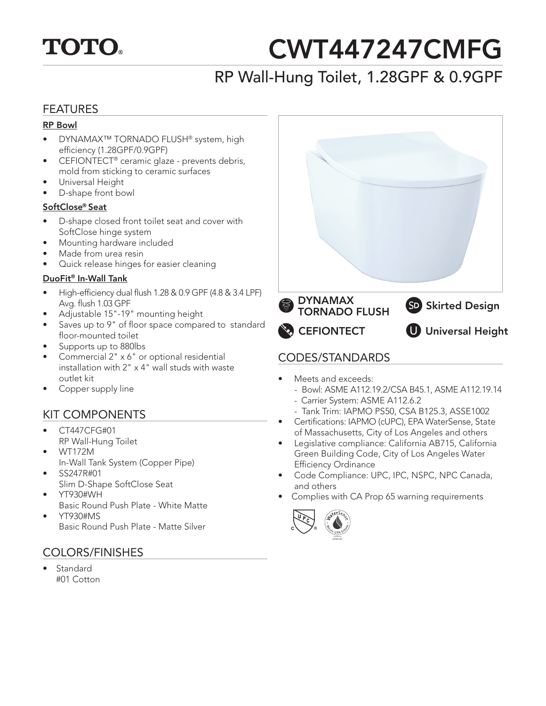

# CWT447247CMFG

## RP Wall-Hung Toilet, 1.28GPF & 0.9GPF

#### FEATURES

#### RP Bowl

- DYNAMAX™ TORNADO FLUSH® system, high efficiency (1.28GPF/0.9GPF)
- CEFIONTECT® ceramic glaze prevents debris, mold from sticking to ceramic surfaces
- Universal Height
- D-shape front bowl

#### <u>SoftClose® Seat</u>

- D-shape closed front toilet seat and cover with SoftClose hinge system
- Mounting hardware included
- Made from urea resin
- Quick release hinges for easier cleaning

#### **DuoFit® In-Wall Tank**

- High-efficiency dual flush 1.28 & 0.9 GPF (4.8 & 3.4 LPF) Avg. flush 1.03 GPF
- Adjustable 15"-19" mounting height
- Saves up to 9" of floor space compared to standard floor-mounted toilet
- Supports up to 880lbs
- Commercial 2" x 6" or optional residential installation with 2" x 4" wall studs with waste outlet kit
- Copper supply line

### KIT COMPONENTS

- CT447CFG#01 RP Wall-Hung Toilet
- WT172M
- In-Wall Tank System (Copper Pipe)
- SS247R#01
- Slim D-Shape SoftClose Seat
- YT930#WH Basic Round Push Plate - White Matte
- YT930#MS Basic Round Push Plate - Matte Silver

#### COLORS/FINISHES

**Standard** #01 Cotton



- Meets and exceeds:
	- Bowl: ASME A112.19.2/CSA B45.1, ASME A112.19.14
	- Carrier System: ASME A112.6.2
	- Tank Trim: IAPMO PS50, CSA B125.3, ASSE1002
- Certifications: IAPMO (cUPC), EPA WaterSense, State of Massachusetts, City of Los Angeles and others
- Legislative compliance: California AB715, California Green Building Code, City of Los Angeles Water Efficiency Ordinance
- Code Compliance: UPC, IPC, NSPC, NPC Canada, and others
- Complies with CA Prop 65 warning requirements

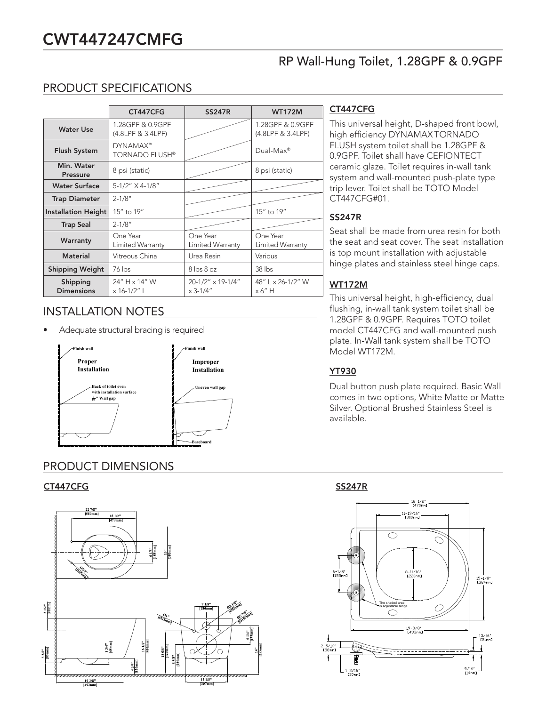### CWT447247CMFG

#### RP Wall-Hung Toilet, 1.28GPF & 0.9GPF

#### PRODUCT SPECIFICATIONS

|                               | CT447CFG                                 | <b>SS247R</b>                     | <b>WT172M</b>                         |
|-------------------------------|------------------------------------------|-----------------------------------|---------------------------------------|
| <b>Water Use</b>              | 1.28GPF & 0.9GPF<br>(4.8LPF & 3.4LPF)    |                                   | 1.28GPF & 0.9GPF<br>(4.8LPF & 3.4LPF) |
| <b>Flush System</b>           | <b>DYNAMAX™</b><br><b>TORNADO FLUSH®</b> |                                   | $Dual-Max^®$                          |
| Min. Water<br><b>Pressure</b> | 8 psi (static)                           |                                   | 8 psi (static)                        |
| <b>Water Surface</b>          | 5-1/2" X 4-1/8"                          |                                   |                                       |
| <b>Trap Diameter</b>          | $2 - 1/8"$                               |                                   |                                       |
| Installation Height           | 15" to 19"                               |                                   | 15" to 19"                            |
| <b>Trap Seal</b>              | $2 - 1/8"$                               |                                   |                                       |
| Warranty                      | One Year<br>Limited Warranty             | One Year<br>Limited Warranty      | One Year<br>Limited Warranty          |
| <b>Material</b>               | Vitreous China                           | Urea Resin                        | Various                               |
| <b>Shipping Weight</b>        | 76 lbs                                   | $8 \text{ lbs } 8 \text{ oz}$     | $38$ lbs                              |
| Shipping<br><b>Dimensions</b> | 24" H x 14" W<br>x 16-1/2" L             | 20-1/2" x 19-1/4"<br>$x 3 - 1/4"$ | 48" L x 26-1/2" W<br>x 6" H           |

#### INSTALLATION NOTES

• Adequate structural bracing is required



#### PRODUCT DIMENSIONS



#### CT447CFG

This universal height, D-shaped front bowl, high efficiency DYNAMAXTORNADO FLUSH system toilet shall be 1.28GPF & 0.9GPF. Toilet shall have CEFIONTECT ceramic glaze. Toilet requires in-wall tank system and wall-mounted push-plate type trip lever. Toilet shall be TOTO Model CT447CFG#01.

#### SS247R

Seat shall be made from urea resin for both the seat and seat cover. The seat installation is top mount installation with adjustable hinge plates and stainless steel hinge caps.

#### WT172M

This universal height, high-efficiency, dual flushing, in-wall tank system toilet shall be 1.28GPF & 0.9GPF. Requires TOTO toilet model CT447CFG and wall-mounted push plate. In-Wall tank system shall be TOTO Model WT172M.

#### YT930

Dual button push plate required. Basic Wall comes in two options, White Matte or Matte Silver. Optional Brushed Stainless Steel is available.